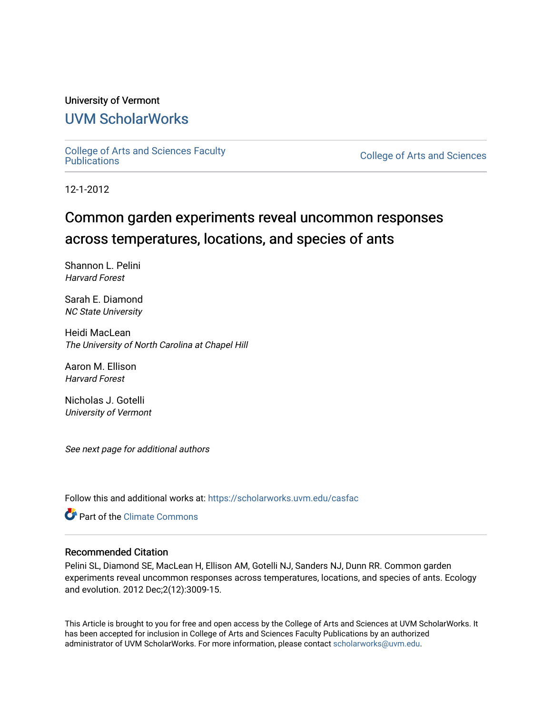## University of Vermont

# [UVM ScholarWorks](https://scholarworks.uvm.edu/)

[College of Arts and Sciences Faculty](https://scholarworks.uvm.edu/casfac)

**College of Arts and Sciences** 

12-1-2012

# Common garden experiments reveal uncommon responses across temperatures, locations, and species of ants

Shannon L. Pelini Harvard Forest

Sarah E. Diamond NC State University

Heidi MacLean The University of North Carolina at Chapel Hill

Aaron M. Ellison Harvard Forest

Nicholas J. Gotelli University of Vermont

See next page for additional authors

Follow this and additional works at: [https://scholarworks.uvm.edu/casfac](https://scholarworks.uvm.edu/casfac?utm_source=scholarworks.uvm.edu%2Fcasfac%2F92&utm_medium=PDF&utm_campaign=PDFCoverPages) 

Part of the [Climate Commons](http://network.bepress.com/hgg/discipline/188?utm_source=scholarworks.uvm.edu%2Fcasfac%2F92&utm_medium=PDF&utm_campaign=PDFCoverPages) 

### Recommended Citation

Pelini SL, Diamond SE, MacLean H, Ellison AM, Gotelli NJ, Sanders NJ, Dunn RR. Common garden experiments reveal uncommon responses across temperatures, locations, and species of ants. Ecology and evolution. 2012 Dec;2(12):3009-15.

This Article is brought to you for free and open access by the College of Arts and Sciences at UVM ScholarWorks. It has been accepted for inclusion in College of Arts and Sciences Faculty Publications by an authorized administrator of UVM ScholarWorks. For more information, please contact [scholarworks@uvm.edu](mailto:scholarworks@uvm.edu).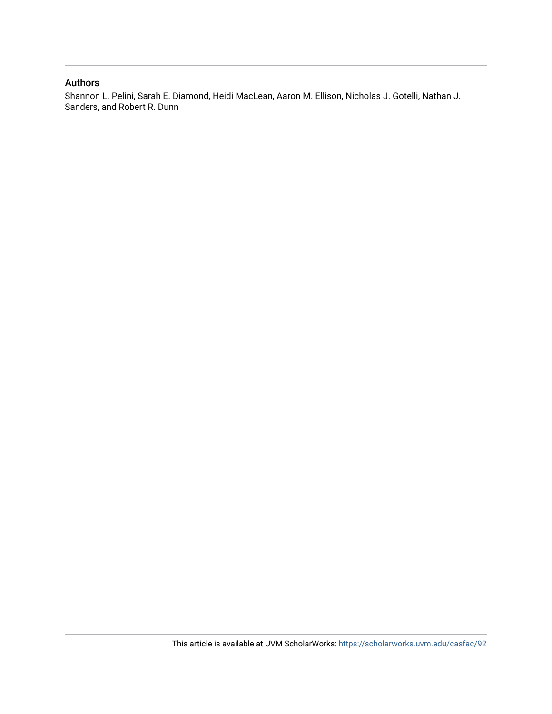## Authors

Shannon L. Pelini, Sarah E. Diamond, Heidi MacLean, Aaron M. Ellison, Nicholas J. Gotelli, Nathan J. Sanders, and Robert R. Dunn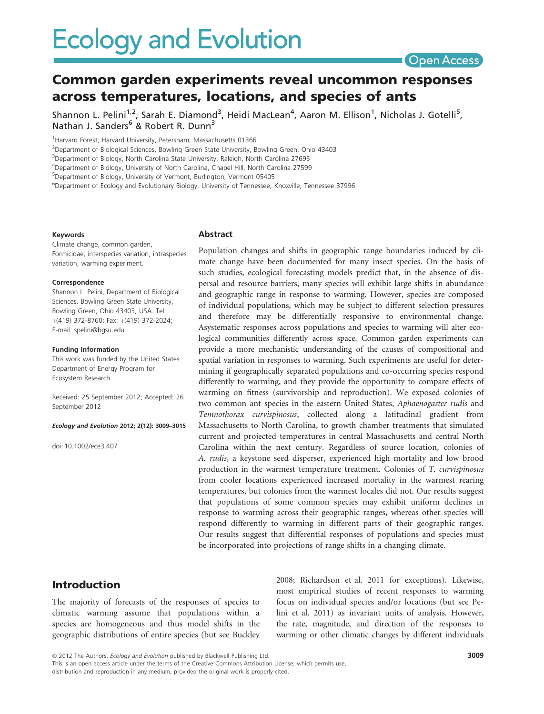## **Open Access**

## Common garden experiments reveal uncommon responses across temperatures, locations, and species of ants

Shannon L. Pelini<sup>1,2</sup>, Sarah E. Diamond<sup>3</sup>, Heidi MacLean<sup>4</sup>, Aaron M. Ellison<sup>1</sup>, Nicholas J. Gotelli<sup>5</sup>, Nathan J. Sanders<sup>6</sup> & Robert R. Dunn<sup>3</sup>

<sup>1</sup> Harvard Forest, Harvard University, Petersham, Massachusetts 01366

<sup>2</sup>Department of Biological Sciences, Bowling Green State University, Bowling Green, Ohio 43403

<sup>3</sup>Department of Biology, North Carolina State University, Raleigh, North Carolina 27695

4 Department of Biology, University of North Carolina, Chapel Hill, North Carolina 27599

5 Department of Biology, University of Vermont, Burlington, Vermont 05405

6 Department of Ecology and Evolutionary Biology, University of Tennessee, Knoxville, Tennessee 37996

#### Keywords

Climate change, common garden, Formicidae, interspecies variation, intraspecies variation, warming experiment.

#### Correspondence

Shannon L. Pelini, Department of Biological Sciences, Bowling Green State University, Bowling Green, Ohio 43403, USA. Tel: +(419) 372-8760; Fax: +(419) 372-2024; E-mail: spelini@bgsu.edu

#### Funding Information

This work was funded by the United States Department of Energy Program for Ecosystem Research.

Received: 25 September 2012; Accepted: 26 September 2012

Ecology and Evolution 2012; 2(12): 3009–3015

doi: 10.1002/ece3.407

#### Abstract

Population changes and shifts in geographic range boundaries induced by climate change have been documented for many insect species. On the basis of such studies, ecological forecasting models predict that, in the absence of dispersal and resource barriers, many species will exhibit large shifts in abundance and geographic range in response to warming. However, species are composed of individual populations, which may be subject to different selection pressures and therefore may be differentially responsive to environmental change. Asystematic responses across populations and species to warming will alter ecological communities differently across space. Common garden experiments can provide a more mechanistic understanding of the causes of compositional and spatial variation in responses to warming. Such experiments are useful for determining if geographically separated populations and co-occurring species respond differently to warming, and they provide the opportunity to compare effects of warming on fitness (survivorship and reproduction). We exposed colonies of two common ant species in the eastern United States, Aphaenogaster rudis and Temnothorax curvispinosus, collected along a latitudinal gradient from Massachusetts to North Carolina, to growth chamber treatments that simulated current and projected temperatures in central Massachusetts and central North Carolina within the next century. Regardless of source location, colonies of A. rudis, a keystone seed disperser, experienced high mortality and low brood production in the warmest temperature treatment. Colonies of T. curvispinosus from cooler locations experienced increased mortality in the warmest rearing temperatures, but colonies from the warmest locales did not. Our results suggest that populations of some common species may exhibit uniform declines in response to warming across their geographic ranges, whereas other species will respond differently to warming in different parts of their geographic ranges. Our results suggest that differential responses of populations and species must be incorporated into projections of range shifts in a changing climate.

## Introduction

The majority of forecasts of the responses of species to climatic warming assume that populations within a species are homogeneous and thus model shifts in the geographic distributions of entire species (but see Buckley 2008; Richardson et al. 2011 for exceptions). Likewise, most empirical studies of recent responses to warming focus on individual species and/or locations (but see Pelini et al. 2011) as invariant units of analysis. However, the rate, magnitude, and direction of the responses to warming or other climatic changes by different individuals

ª 2012 The Authors. Ecology and Evolution published by Blackwell Publishing Ltd.

This is an open access article under the terms of the Creative Commons Attribution License, which permits use, distribution and reproduction in any medium, provided the original work is properly cited.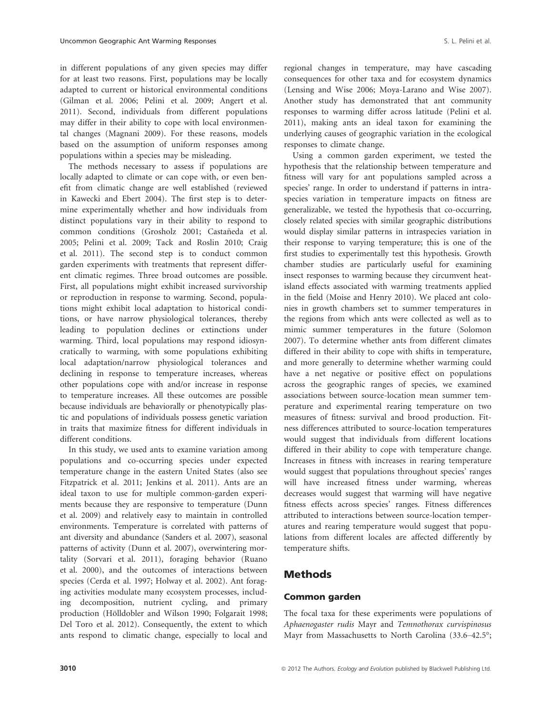in different populations of any given species may differ for at least two reasons. First, populations may be locally adapted to current or historical environmental conditions (Gilman et al. 2006; Pelini et al. 2009; Angert et al. 2011). Second, individuals from different populations may differ in their ability to cope with local environmental changes (Magnani 2009). For these reasons, models based on the assumption of uniform responses among populations within a species may be misleading.

The methods necessary to assess if populations are locally adapted to climate or can cope with, or even benefit from climatic change are well established (reviewed in Kawecki and Ebert 2004). The first step is to determine experimentally whether and how individuals from distinct populations vary in their ability to respond to common conditions (Grosholz 2001; Castañeda et al. 2005; Pelini et al. 2009; Tack and Roslin 2010; Craig et al. 2011). The second step is to conduct common garden experiments with treatments that represent different climatic regimes. Three broad outcomes are possible. First, all populations might exhibit increased survivorship or reproduction in response to warming. Second, populations might exhibit local adaptation to historical conditions, or have narrow physiological tolerances, thereby leading to population declines or extinctions under warming. Third, local populations may respond idiosyncratically to warming, with some populations exhibiting local adaptation/narrow physiological tolerances and declining in response to temperature increases, whereas other populations cope with and/or increase in response to temperature increases. All these outcomes are possible because individuals are behaviorally or phenotypically plastic and populations of individuals possess genetic variation in traits that maximize fitness for different individuals in different conditions.

In this study, we used ants to examine variation among populations and co-occurring species under expected temperature change in the eastern United States (also see Fitzpatrick et al. 2011; Jenkins et al. 2011). Ants are an ideal taxon to use for multiple common-garden experiments because they are responsive to temperature (Dunn et al. 2009) and relatively easy to maintain in controlled environments. Temperature is correlated with patterns of ant diversity and abundance (Sanders et al. 2007), seasonal patterns of activity (Dunn et al. 2007), overwintering mortality (Sorvari et al. 2011), foraging behavior (Ruano et al. 2000), and the outcomes of interactions between species (Cerda et al. 1997; Holway et al. 2002). Ant foraging activities modulate many ecosystem processes, including decomposition, nutrient cycling, and primary production (Hölldobler and Wilson 1990; Folgarait 1998; Del Toro et al. 2012). Consequently, the extent to which ants respond to climatic change, especially to local and regional changes in temperature, may have cascading consequences for other taxa and for ecosystem dynamics (Lensing and Wise 2006; Moya-Larano and Wise 2007). Another study has demonstrated that ant community responses to warming differ across latitude (Pelini et al. 2011), making ants an ideal taxon for examining the underlying causes of geographic variation in the ecological responses to climate change.

Using a common garden experiment, we tested the hypothesis that the relationship between temperature and fitness will vary for ant populations sampled across a species' range. In order to understand if patterns in intraspecies variation in temperature impacts on fitness are generalizable, we tested the hypothesis that co-occurring, closely related species with similar geographic distributions would display similar patterns in intraspecies variation in their response to varying temperature; this is one of the first studies to experimentally test this hypothesis. Growth chamber studies are particularly useful for examining insect responses to warming because they circumvent heatisland effects associated with warming treatments applied in the field (Moise and Henry 2010). We placed ant colonies in growth chambers set to summer temperatures in the regions from which ants were collected as well as to mimic summer temperatures in the future (Solomon 2007). To determine whether ants from different climates differed in their ability to cope with shifts in temperature, and more generally to determine whether warming could have a net negative or positive effect on populations across the geographic ranges of species, we examined associations between source-location mean summer temperature and experimental rearing temperature on two measures of fitness: survival and brood production. Fitness differences attributed to source-location temperatures would suggest that individuals from different locations differed in their ability to cope with temperature change. Increases in fitness with increases in rearing temperature would suggest that populations throughout species' ranges will have increased fitness under warming, whereas decreases would suggest that warming will have negative fitness effects across species' ranges. Fitness differences attributed to interactions between source-location temperatures and rearing temperature would suggest that populations from different locales are affected differently by temperature shifts.

### **Methods**

#### Common garden

The focal taxa for these experiments were populations of Aphaenogaster rudis Mayr and Temnothorax curvispinosus Mayr from Massachusetts to North Carolina (33.6–42.5°;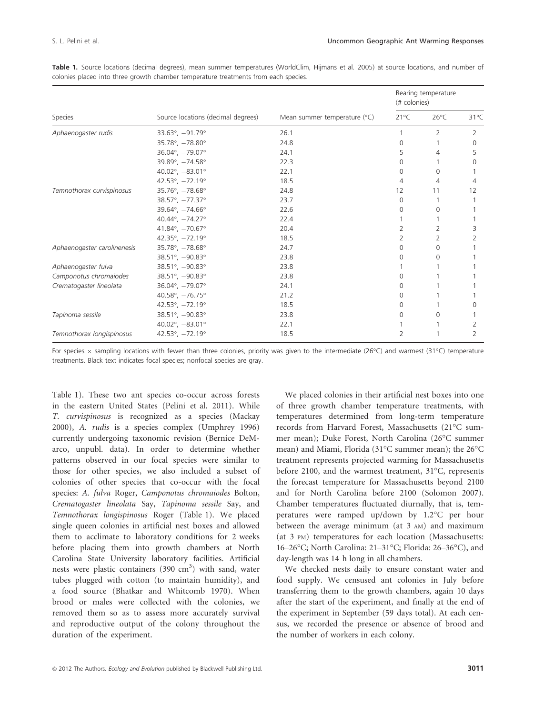| Species                     | Source locations (decimal degrees)   | Mean summer temperature (°C) | Rearing temperature<br>(# colonies) |                |                |
|-----------------------------|--------------------------------------|------------------------------|-------------------------------------|----------------|----------------|
|                             |                                      |                              | $21^{\circ}$ C                      | $26^{\circ}$ C | $31^{\circ}$ C |
| Aphaenogaster rudis         | 33.63 $^{\circ}$ , -91.79 $^{\circ}$ | 26.1                         |                                     | 2              | 2              |
|                             | 35.78°, $-78.80^\circ$               | 24.8                         | 0                                   |                | 0              |
|                             | $36.04^{\circ}$ , $-79.07^{\circ}$   | 24.1                         | 5                                   | 4              | 5              |
|                             | 39.89°, -74.58°                      | 22.3                         | 0                                   |                | 0              |
|                             | 40.02 $^{\circ}$ , -83.01 $^{\circ}$ | 22.1                         | 0                                   | 0              |                |
|                             | 42.53 $^{\circ}$ , $-72.19^{\circ}$  | 18.5                         | 4                                   | 4              | 4              |
| Temnothorax curvispinosus   | $35.76^{\circ}$ , $-78.68^{\circ}$   | 24.8                         | 12                                  | 11             | 12             |
|                             | $38.57^{\circ}$ , $-77.37^{\circ}$   | 23.7                         | 0                                   |                |                |
|                             | 39.64°, $-74.66$ °                   | 22.6                         | 0                                   | U              |                |
|                             | 40.44°, $-74.27$ °                   | 22.4                         |                                     |                |                |
|                             | 41.84°, $-70.67$ °                   | 20.4                         | 2                                   | 2              | 3              |
|                             | 42.35 $^{\circ}$ , $-72.19^{\circ}$  | 18.5                         | 2                                   | 2              |                |
| Aphaenogaster carolinenesis | $35.78^{\circ}$ , $-78.68^{\circ}$   | 24.7                         | 0                                   | $\Omega$       |                |
|                             | $38.51^{\circ}$ , $-90.83^{\circ}$   | 23.8                         | 0                                   | 0              |                |
| Aphaenogaster fulva         | 38.51°, -90.83°                      | 23.8                         |                                     |                |                |
| Camponotus chromaiodes      | 38.51°, -90.83°                      | 23.8                         | 0                                   |                |                |
| Crematogaster lineolata     | 36.04°, $-79.07$ °                   | 24.1                         | 0                                   |                |                |
|                             | 40.58 $^{\circ}$ , $-76.75^{\circ}$  | 21.2                         | 0                                   |                |                |
|                             | 42.53 $^{\circ}$ , $-72.19^{\circ}$  | 18.5                         | 0                                   |                | Ω              |
| Tapinoma sessile            | 38.51°, $-90.83$ °                   | 23.8                         | 0                                   | U              |                |
|                             | 40.02 $^{\circ}$ , -83.01 $^{\circ}$ | 22.1                         |                                     |                |                |
| Temnothorax longispinosus   | 42.53 $^{\circ}$ , $-72.19^{\circ}$  | 18.5                         | 2                                   |                | 2              |

Table 1. Source locations (decimal degrees), mean summer temperatures (WorldClim, Hijmans et al. 2005) at source locations, and number of colonies placed into three growth chamber temperature treatments from each species.

Table 1). These two ant species co-occur across forests in the eastern United States (Pelini et al. 2011). While T. curvispinosus is recognized as a species (Mackay 2000), A. rudis is a species complex (Umphrey 1996) currently undergoing taxonomic revision (Bernice DeMarco, unpubl. data). In order to determine whether patterns observed in our focal species were similar to those for other species, we also included a subset of colonies of other species that co-occur with the focal species: A. fulva Roger, Camponotus chromaiodes Bolton, Crematogaster lineolata Say, Tapinoma sessile Say, and Temnothorax longispinosus Roger (Table 1). We placed single queen colonies in artificial nest boxes and allowed them to acclimate to laboratory conditions for 2 weeks before placing them into growth chambers at North Carolina State University laboratory facilities. Artificial nests were plastic containers  $(390 \text{ cm}^3)$  with sand, water tubes plugged with cotton (to maintain humidity), and a food source (Bhatkar and Whitcomb 1970). When brood or males were collected with the colonies, we removed them so as to assess more accurately survival and reproductive output of the colony throughout the duration of the experiment.

We placed colonies in their artificial nest boxes into one of three growth chamber temperature treatments, with temperatures determined from long-term temperature records from Harvard Forest, Massachusetts (21°C summer mean); Duke Forest, North Carolina (26°C summer mean) and Miami, Florida (31°C summer mean); the 26°C treatment represents projected warming for Massachusetts before 2100, and the warmest treatment, 31°C, represents the forecast temperature for Massachusetts beyond 2100 and for North Carolina before 2100 (Solomon 2007). Chamber temperatures fluctuated diurnally, that is, temperatures were ramped up/down by 1.2°C per hour between the average minimum (at 3 AM) and maximum (at 3 PM) temperatures for each location (Massachusetts: 16–26°C; North Carolina: 21–31°C; Florida: 26–36°C), and day-length was 14 h long in all chambers.

We checked nests daily to ensure constant water and food supply. We censused ant colonies in July before transferring them to the growth chambers, again 10 days after the start of the experiment, and finally at the end of the experiment in September (59 days total). At each census, we recorded the presence or absence of brood and the number of workers in each colony.

For species  $\times$  sampling locations with fewer than three colonies, priority was given to the intermediate (26°C) and warmest (31°C) temperature treatments. Black text indicates focal species; nonfocal species are gray.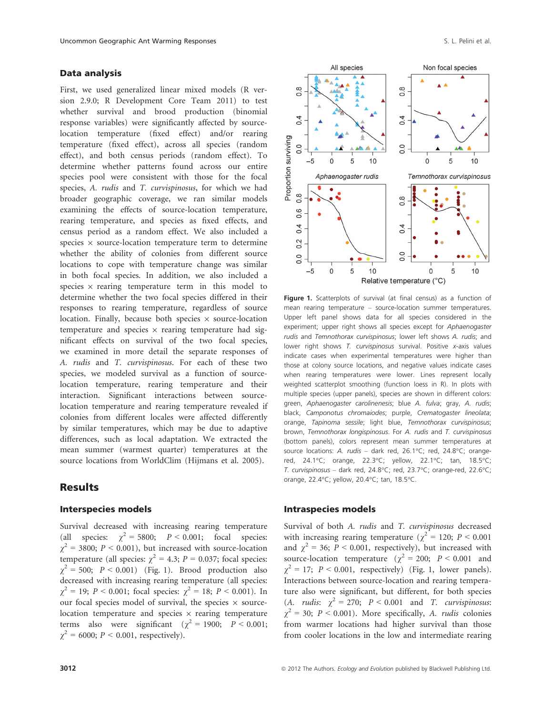#### Data analysis

First, we used generalized linear mixed models (R version 2.9.0; R Development Core Team 2011) to test whether survival and brood production (binomial response variables) were significantly affected by sourcelocation temperature (fixed effect) and/or rearing temperature (fixed effect), across all species (random effect), and both census periods (random effect). To determine whether patterns found across our entire species pool were consistent with those for the focal species, A. rudis and T. curvispinosus, for which we had broader geographic coverage, we ran similar models examining the effects of source-location temperature, rearing temperature, and species as fixed effects, and census period as a random effect. We also included a species  $\times$  source-location temperature term to determine whether the ability of colonies from different source locations to cope with temperature change was similar in both focal species. In addition, we also included a species  $\times$  rearing temperature term in this model to determine whether the two focal species differed in their responses to rearing temperature, regardless of source location. Finally, because both species  $\times$  source-location temperature and species  $\times$  rearing temperature had significant effects on survival of the two focal species, we examined in more detail the separate responses of A. rudis and T. curvispinosus. For each of these two species, we modeled survival as a function of sourcelocation temperature, rearing temperature and their interaction. Significant interactions between sourcelocation temperature and rearing temperature revealed if colonies from different locales were affected differently by similar temperatures, which may be due to adaptive differences, such as local adaptation. We extracted the mean summer (warmest quarter) temperatures at the source locations from WorldClim (Hijmans et al. 2005).

#### Results

#### Interspecies models

Survival decreased with increasing rearing temperature (all species:  $\chi^2 = 5800$ ;  $P < 0.001$ ; focal species:  $\chi^2$  = 3800; P < 0.001), but increased with source-location temperature (all species:  $\chi^2 = 4.3$ ;  $P = 0.037$ ; focal species:  $\chi^2$  = 500;  $P < 0.001$ ) (Fig. 1). Brood production also decreased with increasing rearing temperature (all species:  $\chi^2 = 19$ ;  $P < 0.001$ ; focal species:  $\chi^2 = 18$ ;  $P < 0.001$ ). In our focal species model of survival, the species  $\times$  sourcelocation temperature and species  $\times$  rearing temperature terms also were significant ( $\chi^2 = 1900$ ;  $P < 0.001$ ;  $\chi^2$  = 6000; P < 0.001, respectively).



Figure 1. Scatterplots of survival (at final census) as a function of mean rearing temperature – source-location summer temperatures. Upper left panel shows data for all species considered in the experiment; upper right shows all species except for Aphaenogaster rudis and Temnothorax curvispinosus; lower left shows A. rudis; and lower right shows T. curvispinosus survival. Positive x-axis values indicate cases when experimental temperatures were higher than those at colony source locations, and negative values indicate cases when rearing temperatures were lower. Lines represent locally weighted scatterplot smoothing (function loess in R). In plots with multiple species (upper panels), species are shown in different colors: green, Aphaenogaster carolinenesis; blue A. fulva; gray, A. rudis; black, Camponotus chromaiodes; purple, Crematogaster lineolata; orange, Tapinoma sessile; light blue, Temnothorax curvispinosus; brown, Temnothorax longispinosus. For A. rudis and T. curvispinosus (bottom panels), colors represent mean summer temperatures at source locations: A. rudis - dark red, 26.1°C; red, 24.8°C; orangered, 24.1°C; orange, 22.3°C; yellow, 22.1°C; tan, 18.5°C; T. curvispinosus – dark red, 24.8°C; red, 23.7°C; orange-red, 22.6°C; orange, 22.4°C; yellow, 20.4°C; tan, 18.5°C.

#### Intraspecies models

Survival of both A. rudis and T. curvispinosus decreased with increasing rearing temperature ( $\chi^2 = 120$ ;  $P < 0.001$ ) and  $\chi^2$  = 36; P < 0.001, respectively), but increased with source-location temperature ( $\chi^2 = 200$ ;  $P < 0.001$  and  $\chi^2 = 17$ ;  $P < 0.001$ , respectively) (Fig. 1, lower panels). Interactions between source-location and rearing temperature also were significant, but different, for both species (A. *rudis*:  $\chi^2 = 270$ ;  $P < 0.001$  and *T. curvispinosus*:  $\chi^2 = 30$ ;  $P < 0.001$ ). More specifically, A. *rudis* colonies from warmer locations had higher survival than those from cooler locations in the low and intermediate rearing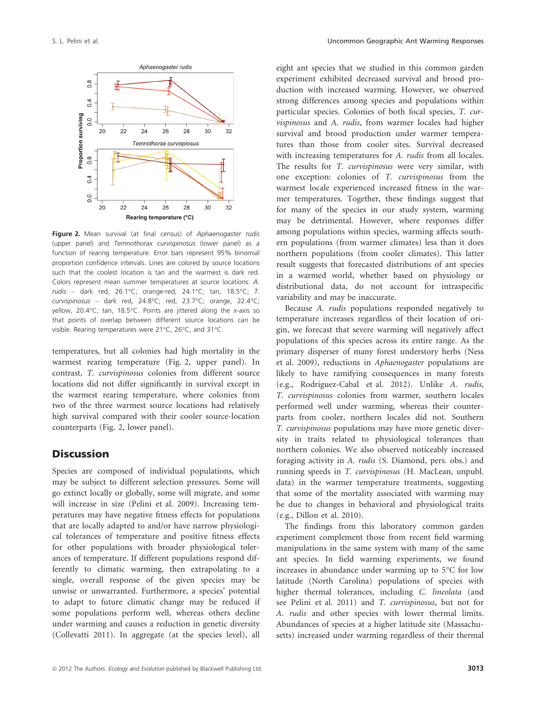

Figure 2. Mean survival (at final census) of Aphaenogaster rudis (upper panel) and Temnothorax curvispinosus (lower panel) as a function of rearing temperature. Error bars represent 95% binomial proportion confidence intervals. Lines are colored by source locations such that the coolest location is tan and the warmest is dark red. Colors represent mean summer temperatures at source locations: A. rudis – dark red, 26.1°C; orange-red, 24.1°C; tan, 18.5°C; T. curvispinosus – dark red, 24.8°C; red, 23.7°C; orange, 22.4°C; yellow, 20.4°C; tan, 18.5°C. Points are jittered along the x-axis so that points of overlap between different source locations can be visible. Rearing temperatures were 21°C, 26°C, and 31°C.

temperatures, but all colonies had high mortality in the warmest rearing temperature (Fig. 2, upper panel). In contrast, T. curvispinosus colonies from different source locations did not differ significantly in survival except in the warmest rearing temperature, where colonies from two of the three warmest source locations had relatively high survival compared with their cooler source-location counterparts (Fig. 2, lower panel).

#### **Discussion**

Species are composed of individual populations, which may be subject to different selection pressures. Some will go extinct locally or globally, some will migrate, and some will increase in size (Pelini et al. 2009). Increasing temperatures may have negative fitness effects for populations that are locally adapted to and/or have narrow physiological tolerances of temperature and positive fitness effects for other populations with broader physiological tolerances of temperature. If different populations respond differently to climatic warming, then extrapolating to a single, overall response of the given species may be unwise or unwarranted. Furthermore, a species' potential to adapt to future climatic change may be reduced if some populations perform well, whereas others decline under warming and causes a reduction in genetic diversity (Collevatti 2011). In aggregate (at the species level), all eight ant species that we studied in this common garden experiment exhibited decreased survival and brood production with increased warming. However, we observed strong differences among species and populations within particular species. Colonies of both focal species, T. curvispinosus and A. rudis, from warmer locales had higher survival and brood production under warmer temperatures than those from cooler sites. Survival decreased with increasing temperatures for A. rudis from all locales. The results for T. curvispinosus were very similar, with one exception: colonies of T. curvispinosus from the warmest locale experienced increased fitness in the warmer temperatures. Together, these findings suggest that for many of the species in our study system, warming may be detrimental. However, where responses differ among populations within species, warming affects southern populations (from warmer climates) less than it does northern populations (from cooler climates). This latter result suggests that forecasted distributions of ant species in a warmed world, whether based on physiology or distributional data, do not account for intraspecific variability and may be inaccurate.

Because A. rudis populations responded negatively to temperature increases regardless of their location of origin, we forecast that severe warming will negatively affect populations of this species across its entire range. As the primary disperser of many forest understory herbs (Ness et al. 2009), reductions in Aphaenogaster populations are likely to have ramifying consequences in many forests (e.g., Rodriguez-Cabal et al. 2012). Unlike A. rudis, T. curvispinosus colonies from warmer, southern locales performed well under warming, whereas their counterparts from cooler, northern locales did not. Southern T. curvispinosus populations may have more genetic diversity in traits related to physiological tolerances than northern colonies. We also observed noticeably increased foraging activity in A. rudis (S. Diamond, pers. obs.) and running speeds in T. curvispinosus (H. MacLean, unpubl. data) in the warmer temperature treatments, suggesting that some of the mortality associated with warming may be due to changes in behavioral and physiological traits (e.g., Dillon et al. 2010).

The findings from this laboratory common garden experiment complement those from recent field warming manipulations in the same system with many of the same ant species. In field warming experiments, we found increases in abundance under warming up to 5°C for low latitude (North Carolina) populations of species with higher thermal tolerances, including C. lineolata (and see Pelini et al. 2011) and T. curvispinosus, but not for A. rudis and other species with lower thermal limits. Abundances of species at a higher latitude site (Massachusetts) increased under warming regardless of their thermal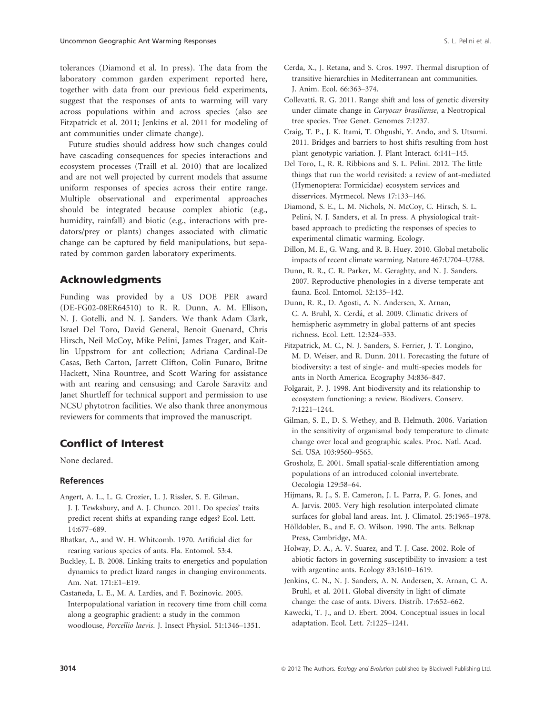tolerances (Diamond et al. In press). The data from the laboratory common garden experiment reported here, together with data from our previous field experiments, suggest that the responses of ants to warming will vary across populations within and across species (also see Fitzpatrick et al. 2011; Jenkins et al. 2011 for modeling of

ant communities under climate change). Future studies should address how such changes could have cascading consequences for species interactions and ecosystem processes (Traill et al. 2010) that are localized and are not well projected by current models that assume uniform responses of species across their entire range. Multiple observational and experimental approaches should be integrated because complex abiotic (e.g., humidity, rainfall) and biotic (e.g., interactions with predators/prey or plants) changes associated with climatic change can be captured by field manipulations, but separated by common garden laboratory experiments.

## Acknowledgments

Funding was provided by a US DOE PER award (DE-FG02-08ER64510) to R. R. Dunn, A. M. Ellison, N. J. Gotelli, and N. J. Sanders. We thank Adam Clark, Israel Del Toro, David General, Benoit Guenard, Chris Hirsch, Neil McCoy, Mike Pelini, James Trager, and Kaitlin Uppstrom for ant collection; Adriana Cardinal-De Casas, Beth Carton, Jarrett Clifton, Colin Funaro, Britne Hackett, Nina Rountree, and Scott Waring for assistance with ant rearing and censusing; and Carole Saravitz and Janet Shurtleff for technical support and permission to use NCSU phytotron facilities. We also thank three anonymous reviewers for comments that improved the manuscript.

## Conflict of Interest

None declared.

#### References

- Angert, A. L., L. G. Crozier, L. J. Rissler, S. E. Gilman, J. J. Tewksbury, and A. J. Chunco. 2011. Do species' traits predict recent shifts at expanding range edges? Ecol. Lett. 14:677–689.
- Bhatkar, A., and W. H. Whitcomb. 1970. Artificial diet for rearing various species of ants. Fla. Entomol. 53:4.
- Buckley, L. B. 2008. Linking traits to energetics and population dynamics to predict lizard ranges in changing environments. Am. Nat. 171:E1–E19.
- Castañeda, L. E., M. A. Lardies, and F. Bozinovic. 2005. Interpopulational variation in recovery time from chill coma along a geographic gradient: a study in the common woodlouse, Porcellio laevis. J. Insect Physiol. 51:1346–1351.
- Cerda, X., J. Retana, and S. Cros. 1997. Thermal disruption of transitive hierarchies in Mediterranean ant communities. J. Anim. Ecol. 66:363–374.
- Collevatti, R. G. 2011. Range shift and loss of genetic diversity under climate change in Caryocar brasiliense, a Neotropical tree species. Tree Genet. Genomes 7:1237.
- Craig, T. P., J. K. Itami, T. Ohgushi, Y. Ando, and S. Utsumi. 2011. Bridges and barriers to host shifts resulting from host plant genotypic variation. J. Plant Interact. 6:141–145.
- Del Toro, I., R. R. Ribbions and S. L. Pelini. 2012. The little things that run the world revisited: a review of ant-mediated (Hymenoptera: Formicidae) ecosystem services and disservices. Myrmecol. News 17:133–146.
- Diamond, S. E., L. M. Nichols, N. McCoy, C. Hirsch, S. L. Pelini, N. J. Sanders, et al. In press. A physiological traitbased approach to predicting the responses of species to experimental climatic warming. Ecology.
- Dillon, M. E., G. Wang, and R. B. Huey. 2010. Global metabolic impacts of recent climate warming. Nature 467:U704–U788.
- Dunn, R. R., C. R. Parker, M. Geraghty, and N. J. Sanders. 2007. Reproductive phenologies in a diverse temperate ant fauna. Ecol. Entomol. 32:135–142.
- Dunn, R. R., D. Agosti, A. N. Andersen, X. Arnan, C. A. Bruhl, X. Cerda´, et al. 2009. Climatic drivers of hemispheric asymmetry in global patterns of ant species richness. Ecol. Lett. 12:324–333.
- Fitzpatrick, M. C., N. J. Sanders, S. Ferrier, J. T. Longino, M. D. Weiser, and R. Dunn. 2011. Forecasting the future of biodiversity: a test of single- and multi-species models for ants in North America. Ecography 34:836–847.
- Folgarait, P. J. 1998. Ant biodiversity and its relationship to ecosystem functioning: a review. Biodivers. Conserv. 7:1221–1244.
- Gilman, S. E., D. S. Wethey, and B. Helmuth. 2006. Variation in the sensitivity of organismal body temperature to climate change over local and geographic scales. Proc. Natl. Acad. Sci. USA 103:9560–9565.
- Grosholz, E. 2001. Small spatial-scale differentiation among populations of an introduced colonial invertebrate. Oecologia 129:58–64.
- Hijmans, R. J., S. E. Cameron, J. L. Parra, P. G. Jones, and A. Jarvis. 2005. Very high resolution interpolated climate surfaces for global land areas. Int. J. Climatol. 25:1965–1978.
- Hölldobler, B., and E. O. Wilson. 1990. The ants. Belknap Press, Cambridge, MA.
- Holway, D. A., A. V. Suarez, and T. J. Case. 2002. Role of abiotic factors in governing susceptibility to invasion: a test with argentine ants. Ecology 83:1610–1619.
- Jenkins, C. N., N. J. Sanders, A. N. Andersen, X. Arnan, C. A. Bruhl, et al. 2011. Global diversity in light of climate change: the case of ants. Divers. Distrib. 17:652–662.
- Kawecki, T. J., and D. Ebert. 2004. Conceptual issues in local adaptation. Ecol. Lett. 7:1225–1241.